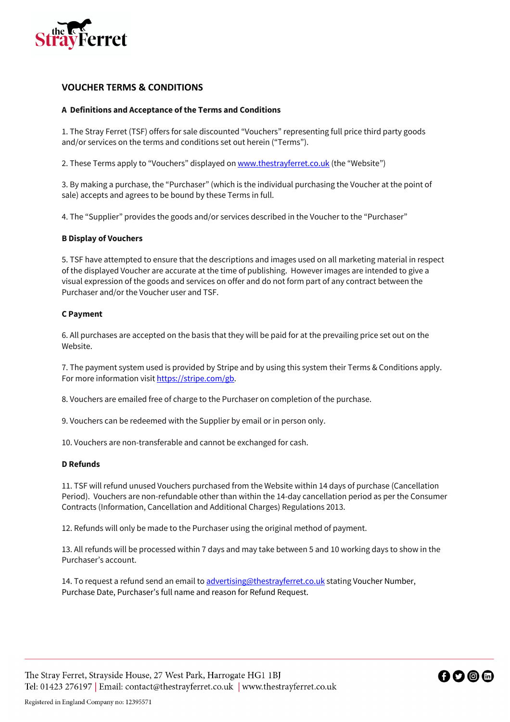

# **VOUCHER TERMS & CONDITIONS**

## **A Definitions and Acceptance of the Terms and Conditions**

1. The Stray Ferret (TSF) offers for sale discounted "Vouchers" representing full price third party goods and/or services on the terms and conditions set out herein ("Terms").

2. These Terms apply to "Vouchers" displayed on www.thestrayferret.co.uk (the "Website")

3. By making a purchase, the "Purchaser" (which is the individual purchasing the Voucher at the point of sale) accepts and agrees to be bound by these Terms in full.

4. The "Supplier" provides the goods and/or services described in the Voucher to the "Purchaser"

### **B Display of Vouchers**

5. TSF have attempted to ensure that the descriptions and images used on all marketing material in respect of the displayed Voucher are accurate at the time of publishing. However images are intended to give a visual expression of the goods and services on offer and do not form part of any contract between the Purchaser and/or the Voucher user and TSF.

### **C Payment**

6. All purchases are accepted on the basis that they will be paid for at the prevailing price set out on the Website.

7. The payment system used is provided by Stripe and by using this system their Terms & Conditions apply. For more information visit https://stripe.com/gb.

8. Vouchers are emailed free of charge to the Purchaser on completion of the purchase.

9. Vouchers can be redeemed with the Supplier by email or in person only.

10. Vouchers are non-transferable and cannot be exchanged for cash.

#### **D Refunds**

11. TSF will refund unused Vouchers purchased from the Website within 14 days of purchase (Cancellation Period). Vouchers are non-refundable other than within the 14-day cancellation period as per the Consumer Contracts (Information, Cancellation and Additional Charges) Regulations 2013.

12. Refunds will only be made to the Purchaser using the original method of payment.

13. All refunds will be processed within 7 days and may take between 5 and 10 working days to show in the Purchaser's account.

14. To request a refund send an email to advertising@thestrayferret.co.uk stating Voucher Number, Purchase Date, Purchaser's full name and reason for Refund Request.